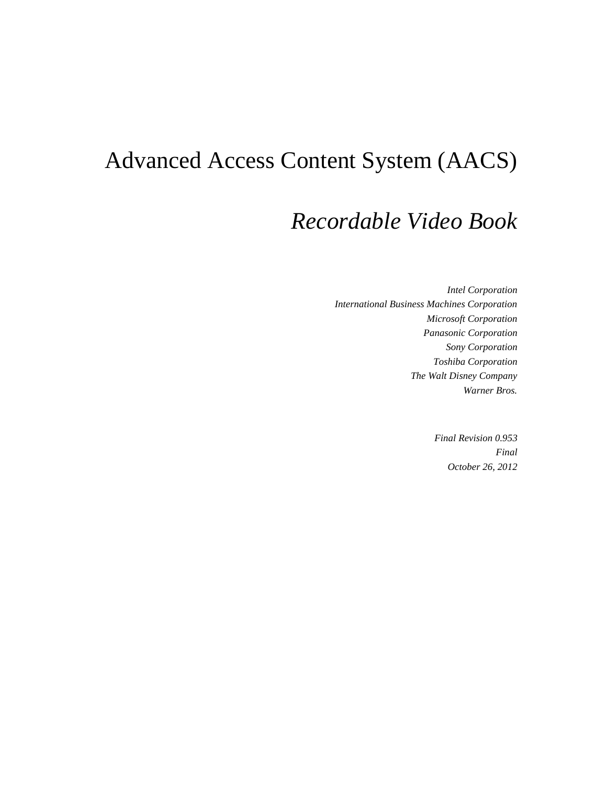# Advanced Access Content System (AACS)

## *Recordable Video Book*

*Intel Corporation International Business Machines Corporation Microsoft Corporation Panasonic Corporation Sony Corporation Toshiba Corporation The Walt Disney Company Warner Bros.*

> *Final Revision 0.953 Final October 26, 2012*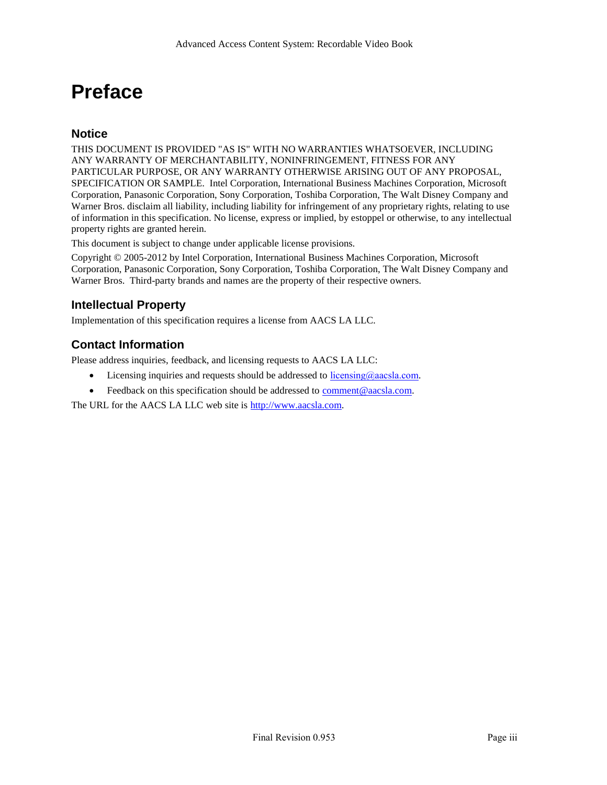## **Preface**

#### <span id="page-2-0"></span>**Notice**

THIS DOCUMENT IS PROVIDED "AS IS" WITH NO WARRANTIES WHATSOEVER, INCLUDING ANY WARRANTY OF MERCHANTABILITY, NONINFRINGEMENT, FITNESS FOR ANY PARTICULAR PURPOSE, OR ANY WARRANTY OTHERWISE ARISING OUT OF ANY PROPOSAL, SPECIFICATION OR SAMPLE. Intel Corporation, International Business Machines Corporation, Microsoft Corporation, Panasonic Corporation, Sony Corporation, Toshiba Corporation, The Walt Disney Company and Warner Bros. disclaim all liability, including liability for infringement of any proprietary rights, relating to use of information in this specification. No license, express or implied, by estoppel or otherwise, to any intellectual property rights are granted herein.

This document is subject to change under applicable license provisions.

Copyright © 2005-2012 by Intel Corporation, International Business Machines Corporation, Microsoft Corporation, Panasonic Corporation, Sony Corporation, Toshiba Corporation, The Walt Disney Company and Warner Bros. Third-party brands and names are the property of their respective owners.

### <span id="page-2-1"></span>**Intellectual Property**

Implementation of this specification requires a license from AACS LA LLC.

### <span id="page-2-2"></span>**Contact Information**

Please address inquiries, feedback, and licensing requests to AACS LA LLC:

- Licensing inquiries and requests should be addressed to  $\frac{ \text{licensing}(a)\text{aacs}a \text{.com}}{ \text{com}}$ .
- Feedback on this specification should be addressed to [comment@aacsla.com.](mailto:comment@aacsla.com)

The URL for the AACS LA LLC web site is [http://www.aacsla.com.](http://www.aacsla.com/)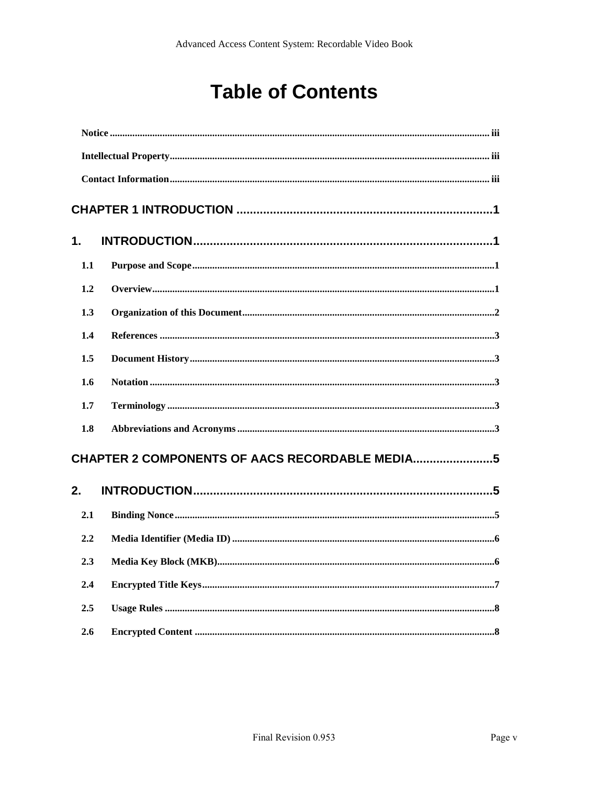## **Table of Contents**

| 1.  |  |
|-----|--|
| 1.1 |  |
| 1.2 |  |
| 1.3 |  |
| 1.4 |  |
| 1.5 |  |
| 1.6 |  |
| 1.7 |  |
| 1.8 |  |
|     |  |
| 2.  |  |
| 2.1 |  |
| 2.2 |  |
| 2.3 |  |
| 2.4 |  |
| 2.5 |  |
| 2.6 |  |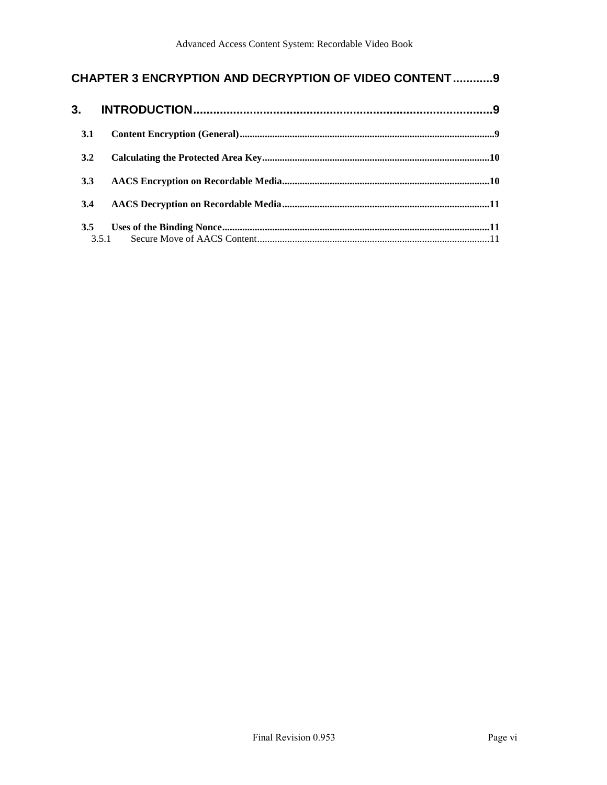## **CHAPTER 3 ENCRYPTION [AND DECRYPTION OF VIDEO CONTENT............9](#page-18-0)**

| 3.1 |  |
|-----|--|
| 3.2 |  |
| 3.3 |  |
| 3.4 |  |
| 3.5 |  |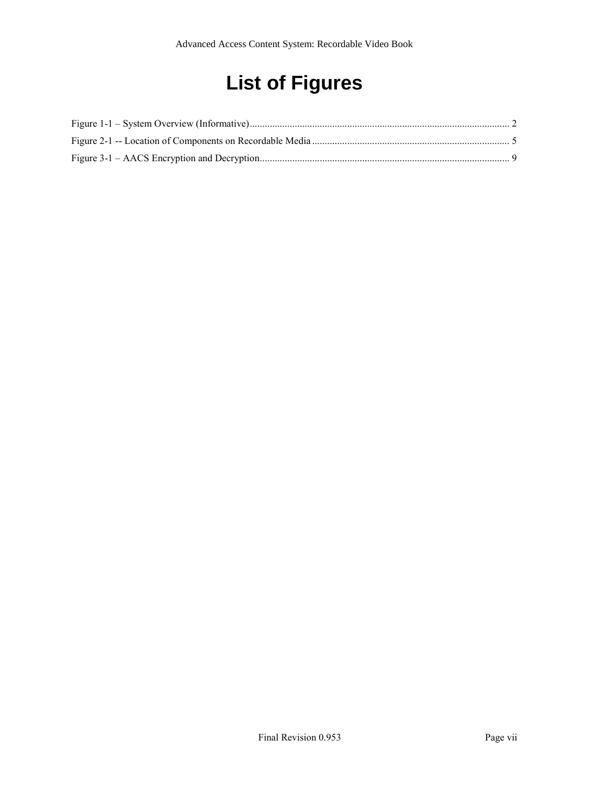# **List of Figures**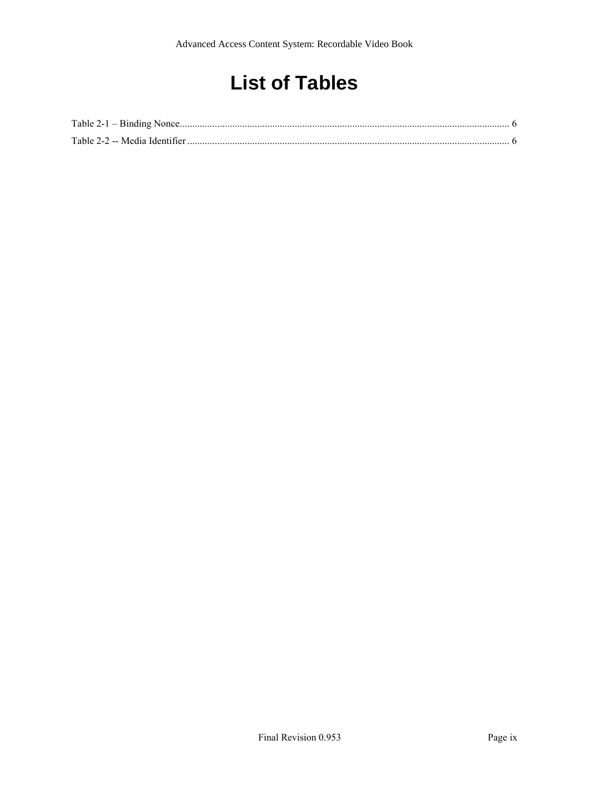## **List of Tables**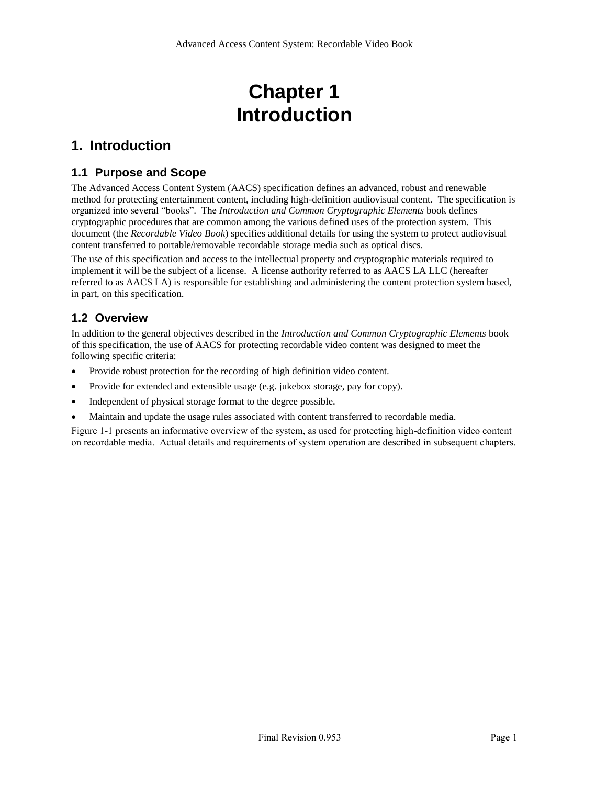## **Chapter 1 Introduction**

## <span id="page-10-1"></span><span id="page-10-0"></span>**1. Introduction**

### <span id="page-10-2"></span>**1.1 Purpose and Scope**

The Advanced Access Content System (AACS) specification defines an advanced, robust and renewable method for protecting entertainment content, including high-definition audiovisual content. The specification is organized into several "books". The *Introduction and Common Cryptographic Elements* book defines cryptographic procedures that are common among the various defined uses of the protection system. This document (the *Recordable Video Book*) specifies additional details for using the system to protect audiovisual content transferred to portable/removable recordable storage media such as optical discs.

The use of this specification and access to the intellectual property and cryptographic materials required to implement it will be the subject of a license. A license authority referred to as AACS LA LLC (hereafter referred to as AACS LA) is responsible for establishing and administering the content protection system based, in part, on this specification.

### <span id="page-10-3"></span>**1.2 Overview**

In addition to the general objectives described in the *Introduction and Common Cryptographic Elements* book of this specification, the use of AACS for protecting recordable video content was designed to meet the following specific criteria:

- Provide robust protection for the recording of high definition video content.
- Provide for extended and extensible usage (e.g. jukebox storage, pay for copy).
- Independent of physical storage format to the degree possible.
- Maintain and update the usage rules associated with content transferred to recordable media.

[Figure 1-1](#page-11-1) presents an informative overview of the system, as used for protecting high-definition video content on recordable media. Actual details and requirements of system operation are described in subsequent chapters.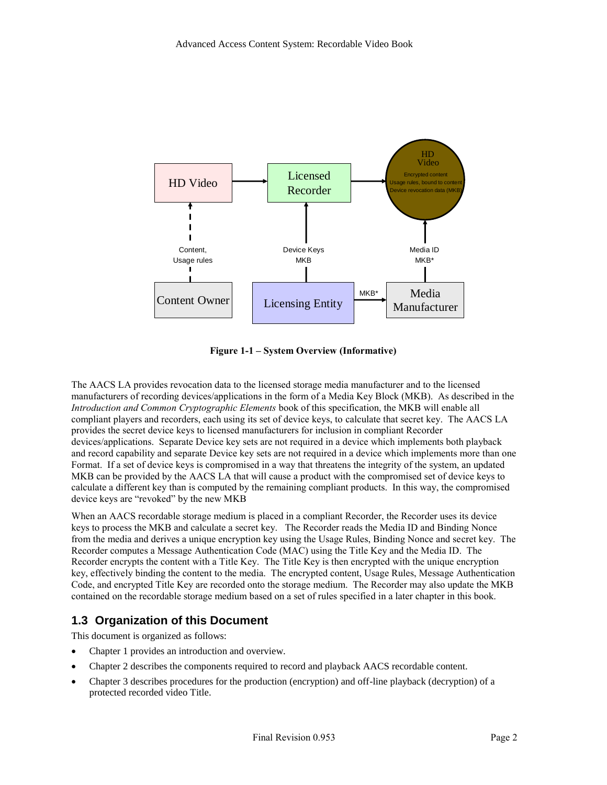

**Figure 1-1 – System Overview (Informative)**

<span id="page-11-1"></span>The AACS LA provides revocation data to the licensed storage media manufacturer and to the licensed manufacturers of recording devices/applications in the form of a Media Key Block (MKB). As described in the *Introduction and Common Cryptographic Elements* book of this specification, the MKB will enable all compliant players and recorders, each using its set of device keys, to calculate that secret key. The AACS LA provides the secret device keys to licensed manufacturers for inclusion in compliant Recorder devices/applications. Separate Device key sets are not required in a device which implements both playback and record capability and separate Device key sets are not required in a device which implements more than one Format. If a set of device keys is compromised in a way that threatens the integrity of the system, an updated MKB can be provided by the AACS LA that will cause a product with the compromised set of device keys to calculate a different key than is computed by the remaining compliant products. In this way, the compromised device keys are "revoked" by the new MKB

When an AACS recordable storage medium is placed in a compliant Recorder, the Recorder uses its device keys to process the MKB and calculate a secret key. The Recorder reads the Media ID and Binding Nonce from the media and derives a unique encryption key using the Usage Rules, Binding Nonce and secret key. The Recorder computes a Message Authentication Code (MAC) using the Title Key and the Media ID. The Recorder encrypts the content with a Title Key. The Title Key is then encrypted with the unique encryption key, effectively binding the content to the media. The encrypted content, Usage Rules, Message Authentication Code, and encrypted Title Key are recorded onto the storage medium. The Recorder may also update the MKB contained on the recordable storage medium based on a set of rules specified in a later chapter in this book.

### <span id="page-11-0"></span>**1.3 Organization of this Document**

This document is organized as follows:

- Chapter 1 provides an introduction and overview.
- Chapter 2 describes the components required to record and playback AACS recordable content.
- Chapter 3 describes procedures for the production (encryption) and off-line playback (decryption) of a protected recorded video Title.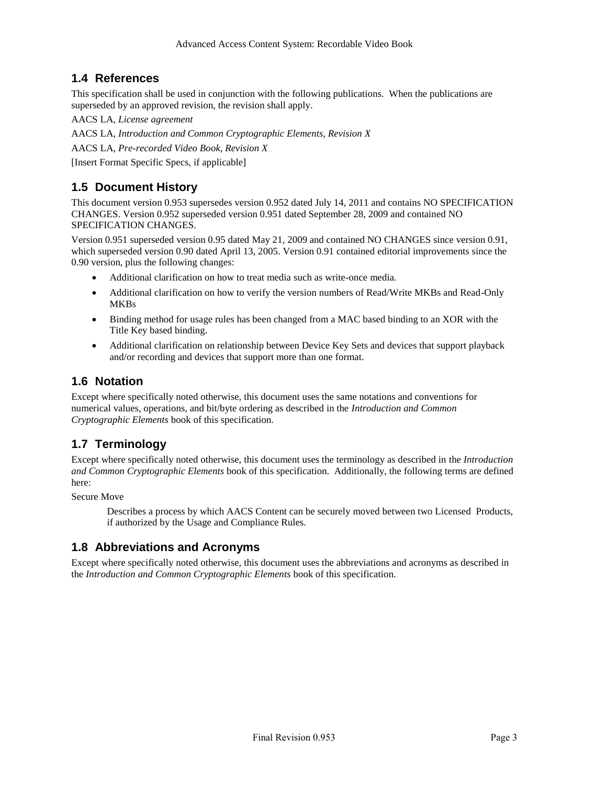### <span id="page-12-0"></span>**1.4 References**

This specification shall be used in conjunction with the following publications. When the publications are superseded by an approved revision, the revision shall apply.

AACS LA, *License agreement*

AACS LA, *Introduction and Common Cryptographic Elements, Revision X*

AACS LA, *Pre-recorded Video Book, Revision X*

[Insert Format Specific Specs, if applicable]

## <span id="page-12-1"></span>**1.5 Document History**

This document version 0.953 supersedes version 0.952 dated July 14, 2011 and contains NO SPECIFICATION CHANGES. Version 0.952 superseded version 0.951 dated September 28, 2009 and contained NO SPECIFICATION CHANGES.

Version 0.951 superseded version 0.95 dated May 21, 2009 and contained NO CHANGES since version 0.91, which superseded version 0.90 dated April 13, 2005. Version 0.91 contained editorial improvements since the 0.90 version, plus the following changes:

- Additional clarification on how to treat media such as write-once media.
- Additional clarification on how to verify the version numbers of Read/Write MKBs and Read-Only **MKBs**
- Binding method for usage rules has been changed from a MAC based binding to an XOR with the Title Key based binding.
- Additional clarification on relationship between Device Key Sets and devices that support playback and/or recording and devices that support more than one format.

#### <span id="page-12-2"></span>**1.6 Notation**

Except where specifically noted otherwise, this document uses the same notations and conventions for numerical values, operations, and bit/byte ordering as described in the *Introduction and Common Cryptographic Elements* book of this specification.

## <span id="page-12-3"></span>**1.7 Terminology**

Except where specifically noted otherwise, this document uses the terminology as described in the *Introduction and Common Cryptographic Elements* book of this specification. Additionally, the following terms are defined here:

Secure Move

Describes a process by which AACS Content can be securely moved between two Licensed Products, if authorized by the Usage and Compliance Rules.

## <span id="page-12-4"></span>**1.8 Abbreviations and Acronyms**

Except where specifically noted otherwise, this document uses the abbreviations and acronyms as described in the *Introduction and Common Cryptographic Elements* book of this specification.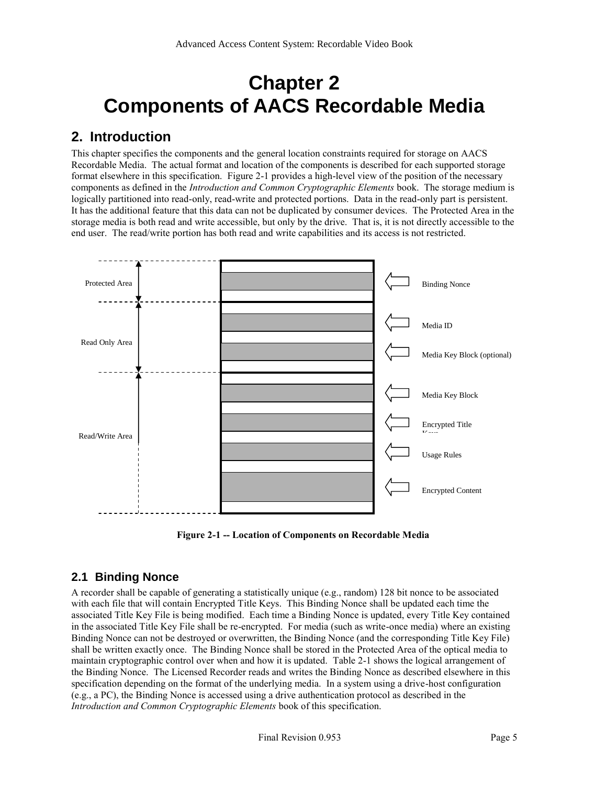## <span id="page-14-0"></span>**Chapter 2 Components of AACS Recordable Media**

## <span id="page-14-1"></span>**2. Introduction**

This chapter specifies the components and the general location constraints required for storage on AACS Recordable Media. The actual format and location of the components is described for each supported storage format elsewhere in this specification. [Figure 2-1](#page-14-3) provides a high-level view of the position of the necessary components as defined in the *Introduction and Common Cryptographic Elements* book. The storage medium is logically partitioned into read-only, read-write and protected portions. Data in the read-only part is persistent. It has the additional feature that this data can not be duplicated by consumer devices. The Protected Area in the storage media is both read and write accessible, but only by the drive. That is, it is not directly accessible to the end user. The read/write portion has both read and write capabilities and its access is not restricted.



**Figure 2-1 -- Location of Components on Recordable Media**

## <span id="page-14-3"></span><span id="page-14-2"></span>**2.1 Binding Nonce**

A recorder shall be capable of generating a statistically unique (e.g., random) 128 bit nonce to be associated with each file that will contain Encrypted Title Keys. This Binding Nonce shall be updated each time the associated Title Key File is being modified. Each time a Binding Nonce is updated, every Title Key contained in the associated Title Key File shall be re-encrypted. For media (such as write-once media) where an existing Binding Nonce can not be destroyed or overwritten, the Binding Nonce (and the corresponding Title Key File) shall be written exactly once. The Binding Nonce shall be stored in the Protected Area of the optical media to maintain cryptographic control over when and how it is updated. [Table 2-1](#page-15-2) shows the logical arrangement of the Binding Nonce. The Licensed Recorder reads and writes the Binding Nonce as described elsewhere in this specification depending on the format of the underlying media. In a system using a drive-host configuration (e.g., a PC), the Binding Nonce is accessed using a drive authentication protocol as described in the *Introduction and Common Cryptographic Elements* book of this specification.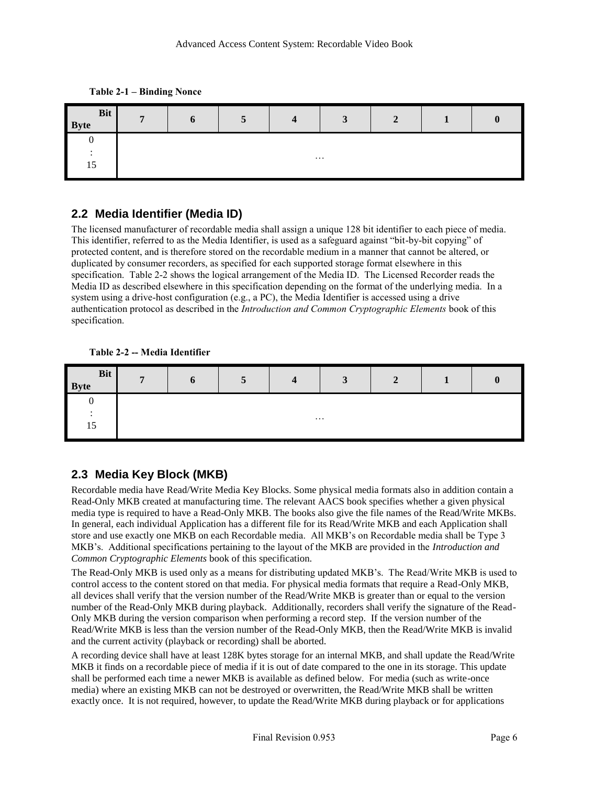**Table 2-1 – Binding Nonce**

<span id="page-15-2"></span>

| Bit<br><b>Byte</b> | $\mathbf{r}$ | O | $\overline{a}$<br>$\mathbf{z}$ | Δ<br>- | $\mathbf{r}$<br>$\sim$ | $\mathbf{\Omega}$ |  |  |
|--------------------|--------------|---|--------------------------------|--------|------------------------|-------------------|--|--|
|                    |              |   |                                |        |                        |                   |  |  |
|                    | $\cdots$     |   |                                |        |                        |                   |  |  |
| 15                 |              |   |                                |        |                        |                   |  |  |

### <span id="page-15-0"></span>**2.2 Media Identifier (Media ID)**

The licensed manufacturer of recordable media shall assign a unique 128 bit identifier to each piece of media. This identifier, referred to as the Media Identifier, is used as a safeguard against "bit-by-bit copying" of protected content, and is therefore stored on the recordable medium in a manner that cannot be altered, or duplicated by consumer recorders, as specified for each supported storage format elsewhere in this specification. [Table 2-2](#page-15-3) shows the logical arrangement of the Media ID. The Licensed Recorder reads the Media ID as described elsewhere in this specification depending on the format of the underlying media. In a system using a drive-host configuration (e.g., a PC), the Media Identifier is accessed using a drive authentication protocol as described in the *Introduction and Common Cryptographic Elements* book of this specification.

**Table 2-2 -- Media Identifier**

<span id="page-15-3"></span>

| <b>Bit</b><br><b>Byte</b>      | - | o | ت | $\sqrt{ }$ | $\sim$ | A |  |
|--------------------------------|---|---|---|------------|--------|---|--|
|                                |   |   |   |            |        |   |  |
| $\overline{\phantom{0}}$<br>ΠJ |   |   |   | $\cdots$   |        |   |  |

## <span id="page-15-1"></span>**2.3 Media Key Block (MKB)**

Recordable media have Read/Write Media Key Blocks. Some physical media formats also in addition contain a Read-Only MKB created at manufacturing time. The relevant AACS book specifies whether a given physical media type is required to have a Read-Only MKB. The books also give the file names of the Read/Write MKBs. In general, each individual Application has a different file for its Read/Write MKB and each Application shall store and use exactly one MKB on each Recordable media. All MKB's on Recordable media shall be Type 3 MKB's. Additional specifications pertaining to the layout of the MKB are provided in the *Introduction and Common Cryptographic Elements* book of this specification.

The Read-Only MKB is used only as a means for distributing updated MKB's. The Read/Write MKB is used to control access to the content stored on that media. For physical media formats that require a Read-Only MKB, all devices shall verify that the version number of the Read/Write MKB is greater than or equal to the version number of the Read-Only MKB during playback. Additionally, recorders shall verify the signature of the Read-Only MKB during the version comparison when performing a record step. If the version number of the Read/Write MKB is less than the version number of the Read-Only MKB, then the Read/Write MKB is invalid and the current activity (playback or recording) shall be aborted.

A recording device shall have at least 128K bytes storage for an internal MKB, and shall update the Read/Write MKB it finds on a recordable piece of media if it is out of date compared to the one in its storage. This update shall be performed each time a newer MKB is available as defined below. For media (such as write-once media) where an existing MKB can not be destroyed or overwritten, the Read/Write MKB shall be written exactly once. It is not required, however, to update the Read/Write MKB during playback or for applications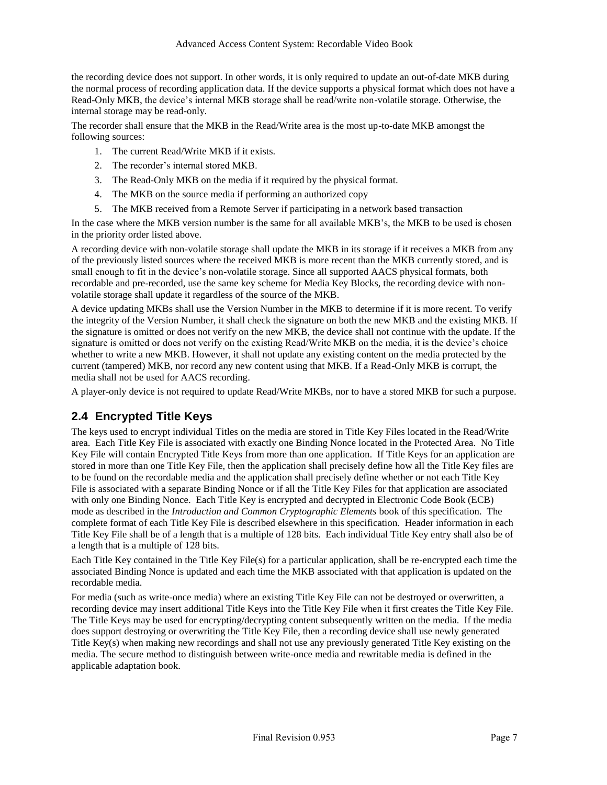the recording device does not support. In other words, it is only required to update an out-of-date MKB during the normal process of recording application data. If the device supports a physical format which does not have a Read-Only MKB, the device's internal MKB storage shall be read/write non-volatile storage. Otherwise, the internal storage may be read-only.

The recorder shall ensure that the MKB in the Read/Write area is the most up-to-date MKB amongst the following sources:

- 1. The current Read/Write MKB if it exists.
- 2. The recorder's internal stored MKB.
- 3. The Read-Only MKB on the media if it required by the physical format.
- 4. The MKB on the source media if performing an authorized copy
- 5. The MKB received from a Remote Server if participating in a network based transaction

In the case where the MKB version number is the same for all available MKB's, the MKB to be used is chosen in the priority order listed above.

A recording device with non-volatile storage shall update the MKB in its storage if it receives a MKB from any of the previously listed sources where the received MKB is more recent than the MKB currently stored, and is small enough to fit in the device's non-volatile storage. Since all supported AACS physical formats, both recordable and pre-recorded, use the same key scheme for Media Key Blocks, the recording device with nonvolatile storage shall update it regardless of the source of the MKB.

A device updating MKBs shall use the Version Number in the MKB to determine if it is more recent. To verify the integrity of the Version Number, it shall check the signature on both the new MKB and the existing MKB. If the signature is omitted or does not verify on the new MKB, the device shall not continue with the update. If the signature is omitted or does not verify on the existing Read/Write MKB on the media, it is the device's choice whether to write a new MKB. However, it shall not update any existing content on the media protected by the current (tampered) MKB, nor record any new content using that MKB. If a Read-Only MKB is corrupt, the media shall not be used for AACS recording.

A player-only device is not required to update Read/Write MKBs, nor to have a stored MKB for such a purpose.

### <span id="page-16-0"></span>**2.4 Encrypted Title Keys**

The keys used to encrypt individual Titles on the media are stored in Title Key Files located in the Read/Write area. Each Title Key File is associated with exactly one Binding Nonce located in the Protected Area. No Title Key File will contain Encrypted Title Keys from more than one application. If Title Keys for an application are stored in more than one Title Key File, then the application shall precisely define how all the Title Key files are to be found on the recordable media and the application shall precisely define whether or not each Title Key File is associated with a separate Binding Nonce or if all the Title Key Files for that application are associated with only one Binding Nonce. Each Title Key is encrypted and decrypted in Electronic Code Book (ECB) mode as described in the *Introduction and Common Cryptographic Elements* book of this specification. The complete format of each Title Key File is described elsewhere in this specification. Header information in each Title Key File shall be of a length that is a multiple of 128 bits. Each individual Title Key entry shall also be of a length that is a multiple of 128 bits.

Each Title Key contained in the Title Key File(s) for a particular application, shall be re-encrypted each time the associated Binding Nonce is updated and each time the MKB associated with that application is updated on the recordable media.

For media (such as write-once media) where an existing Title Key File can not be destroyed or overwritten, a recording device may insert additional Title Keys into the Title Key File when it first creates the Title Key File. The Title Keys may be used for encrypting/decrypting content subsequently written on the media. If the media does support destroying or overwriting the Title Key File, then a recording device shall use newly generated Title Key(s) when making new recordings and shall not use any previously generated Title Key existing on the media. The secure method to distinguish between write-once media and rewritable media is defined in the applicable adaptation book.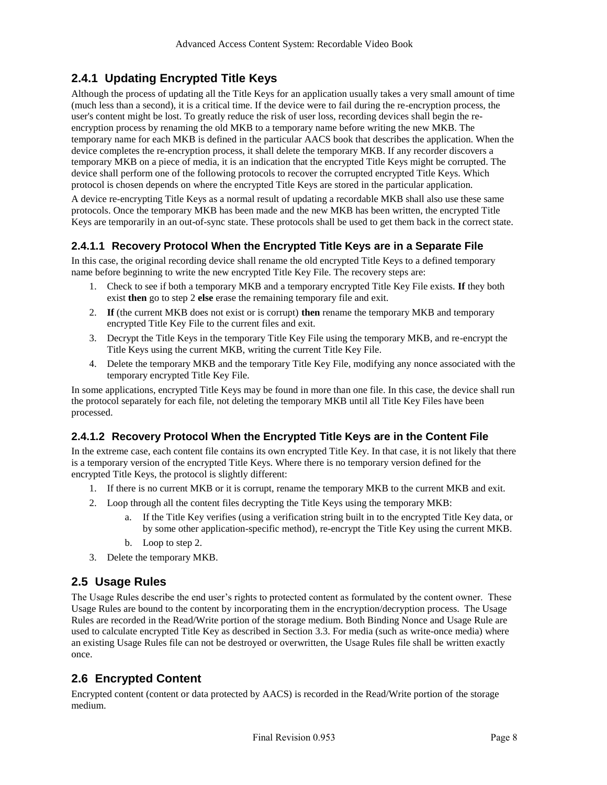### **2.4.1 Updating Encrypted Title Keys**

Although the process of updating all the Title Keys for an application usually takes a very small amount of time (much less than a second), it is a critical time. If the device were to fail during the re-encryption process, the user's content might be lost. To greatly reduce the risk of user loss, recording devices shall begin the reencryption process by renaming the old MKB to a temporary name before writing the new MKB. The temporary name for each MKB is defined in the particular AACS book that describes the application. When the device completes the re-encryption process, it shall delete the temporary MKB. If any recorder discovers a temporary MKB on a piece of media, it is an indication that the encrypted Title Keys might be corrupted. The device shall perform one of the following protocols to recover the corrupted encrypted Title Keys. Which protocol is chosen depends on where the encrypted Title Keys are stored in the particular application.

A device re-encrypting Title Keys as a normal result of updating a recordable MKB shall also use these same protocols. Once the temporary MKB has been made and the new MKB has been written, the encrypted Title Keys are temporarily in an out-of-sync state. These protocols shall be used to get them back in the correct state.

#### **2.4.1.1 Recovery Protocol When the Encrypted Title Keys are in a Separate File**

In this case, the original recording device shall rename the old encrypted Title Keys to a defined temporary name before beginning to write the new encrypted Title Key File. The recovery steps are:

- 1. Check to see if both a temporary MKB and a temporary encrypted Title Key File exists. **If** they both exist **then** go to step 2 **else** erase the remaining temporary file and exit.
- 2. **If** (the current MKB does not exist or is corrupt) **then** rename the temporary MKB and temporary encrypted Title Key File to the current files and exit.
- 3. Decrypt the Title Keys in the temporary Title Key File using the temporary MKB, and re-encrypt the Title Keys using the current MKB, writing the current Title Key File.
- 4. Delete the temporary MKB and the temporary Title Key File, modifying any nonce associated with the temporary encrypted Title Key File.

In some applications, encrypted Title Keys may be found in more than one file. In this case, the device shall run the protocol separately for each file, not deleting the temporary MKB until all Title Key Files have been processed.

#### **2.4.1.2 Recovery Protocol When the Encrypted Title Keys are in the Content File**

In the extreme case, each content file contains its own encrypted Title Key. In that case, it is not likely that there is a temporary version of the encrypted Title Keys. Where there is no temporary version defined for the encrypted Title Keys, the protocol is slightly different:

- 1. If there is no current MKB or it is corrupt, rename the temporary MKB to the current MKB and exit.
- 2. Loop through all the content files decrypting the Title Keys using the temporary MKB:
	- a. If the Title Key verifies (using a verification string built in to the encrypted Title Key data, or by some other application-specific method), re-encrypt the Title Key using the current MKB.
	- b. Loop to step 2.
- 3. Delete the temporary MKB.

### <span id="page-17-0"></span>**2.5 Usage Rules**

The Usage Rules describe the end user's rights to protected content as formulated by the content owner. These Usage Rules are bound to the content by incorporating them in the encryption/decryption process. The Usage Rules are recorded in the Read/Write portion of the storage medium. Both Binding Nonce and Usage Rule are used to calculate encrypted Title Key as described in Section [3.3.](#page-19-1) For media (such as write-once media) where an existing Usage Rules file can not be destroyed or overwritten, the Usage Rules file shall be written exactly once.

### <span id="page-17-1"></span>**2.6 Encrypted Content**

Encrypted content (content or data protected by AACS) is recorded in the Read/Write portion of the storage medium.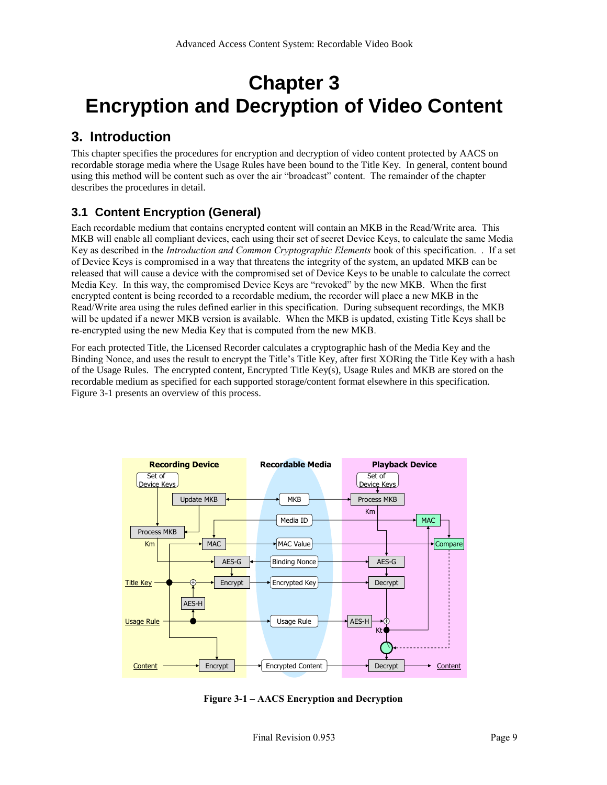## <span id="page-18-0"></span>**Chapter 3 Encryption and Decryption of Video Content**

## <span id="page-18-1"></span>**3. Introduction**

This chapter specifies the procedures for encryption and decryption of video content protected by AACS on recordable storage media where the Usage Rules have been bound to the Title Key. In general, content bound using this method will be content such as over the air "broadcast" content. The remainder of the chapter describes the procedures in detail.

## <span id="page-18-2"></span>**3.1 Content Encryption (General)**

Each recordable medium that contains encrypted content will contain an MKB in the Read/Write area. This MKB will enable all compliant devices, each using their set of secret Device Keys, to calculate the same Media Key as described in the *Introduction and Common Cryptographic Elements* book of this specification. . If a set of Device Keys is compromised in a way that threatens the integrity of the system, an updated MKB can be released that will cause a device with the compromised set of Device Keys to be unable to calculate the correct Media Key. In this way, the compromised Device Keys are "revoked" by the new MKB. When the first encrypted content is being recorded to a recordable medium, the recorder will place a new MKB in the Read/Write area using the rules defined earlier in this specification. During subsequent recordings, the MKB will be updated if a newer MKB version is available. When the MKB is updated, existing Title Keys shall be re-encrypted using the new Media Key that is computed from the new MKB.

For each protected Title, the Licensed Recorder calculates a cryptographic hash of the Media Key and the Binding Nonce, and uses the result to encrypt the Title's Title Key, after first XORing the Title Key with a hash of the Usage Rules. The encrypted content, Encrypted Title Key(s), Usage Rules and MKB are stored on the recordable medium as specified for each supported storage/content format elsewhere in this specification. [Figure 3-1](#page-18-3) presents an overview of this process.



<span id="page-18-3"></span>**Figure 3-1 – AACS Encryption and Decryption**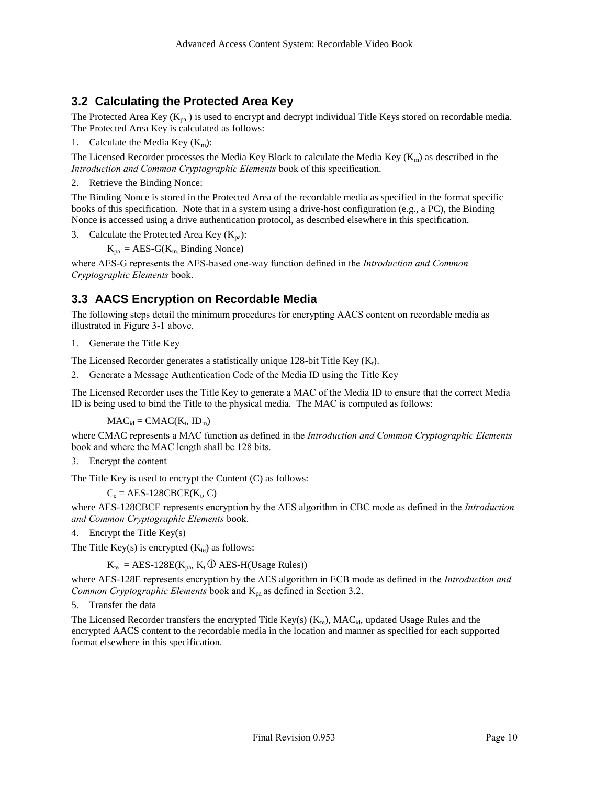### <span id="page-19-0"></span>**3.2 Calculating the Protected Area Key**

The Protected Area Key ( $K_{pa}$ ) is used to encrypt and decrypt individual Title Keys stored on recordable media. The Protected Area Key is calculated as follows:

1. Calculate the Media Key  $(K_m)$ :

The Licensed Recorder processes the Media Key Block to calculate the Media Key ( $K_m$ ) as described in the *Introduction and Common Cryptographic Elements* book of this specification.

2. Retrieve the Binding Nonce:

The Binding Nonce is stored in the Protected Area of the recordable media as specified in the format specific books of this specification. Note that in a system using a drive-host configuration (e.g., a PC), the Binding Nonce is accessed using a drive authentication protocol, as described elsewhere in this specification.

3. Calculate the Protected Area Key  $(K_{pa})$ :

 $K_{pa} = AES-G(K_{m}$  Binding Nonce)

where AES-G represents the AES-based one-way function defined in the *Introduction and Common Cryptographic Elements* book.

## <span id="page-19-1"></span>**3.3 AACS Encryption on Recordable Media**

The following steps detail the minimum procedures for encrypting AACS content on recordable media as illustrated in [Figure 3-1](#page-18-3) above.

1. Generate the Title Key

The Licensed Recorder generates a statistically unique 128-bit Title Key  $(K_t)$ .

2. Generate a Message Authentication Code of the Media ID using the Title Key

The Licensed Recorder uses the Title Key to generate a MAC of the Media ID to ensure that the correct Media ID is being used to bind the Title to the physical media. The MAC is computed as follows:

 $MAC_{id} = CMAC(K_t, ID_m)$ 

where CMAC represents a MAC function as defined in the *Introduction and Common Cryptographic Elements* book and where the MAC length shall be 128 bits.

3. Encrypt the content

The Title Key is used to encrypt the Content (C) as follows:

 $C_e = AES-128CBCE(K_t, C)$ 

where AES-128CBCE represents encryption by the AES algorithm in CBC mode as defined in the *Introduction and Common Cryptographic Elements* book.

4. Encrypt the Title Key(s)

The Title Key(s) is encrypted  $(K_{te})$  as follows:

 $K_{te}$  = AES-128E( $K_{pa}$ ,  $K_t \oplus$  AES-H(Usage Rules))

where AES-128E represents encryption by the AES algorithm in ECB mode as defined in the *Introduction and Common Cryptographic Elements* book and K<sub>pa</sub> as defined in Sectio[n 3.2.](#page-19-0)

5. Transfer the data

The Licensed Recorder transfers the encrypted Title Key(s)  $(K_{te})$ , MAC<sub>id</sub>, updated Usage Rules and the encrypted AACS content to the recordable media in the location and manner as specified for each supported format elsewhere in this specification.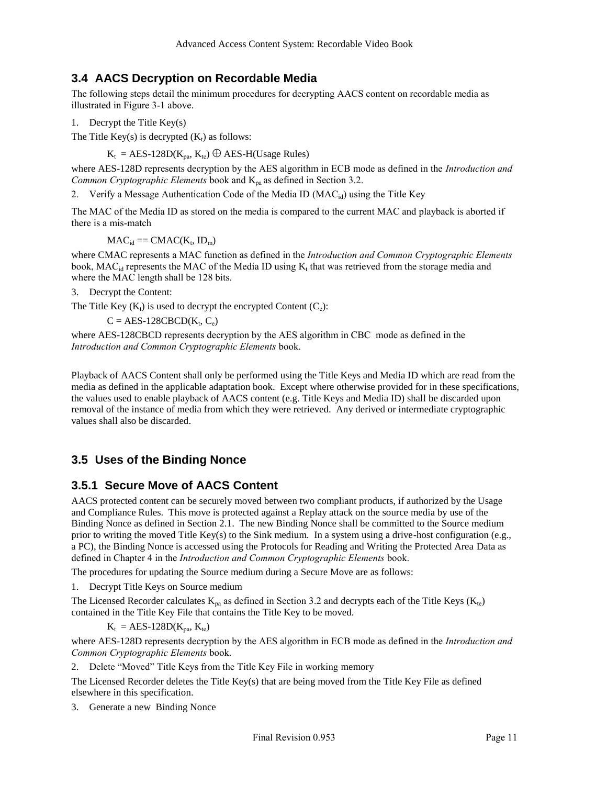### <span id="page-20-0"></span>**3.4 AACS Decryption on Recordable Media**

The following steps detail the minimum procedures for decrypting AACS content on recordable media as illustrated in [Figure 3-1](#page-18-3) above.

1. Decrypt the Title Key(s)

The Title Key(s) is decrypted  $(K_t)$  as follows:

 $K_t = AES-128D(K_{pa}, K_{te}) \bigoplus AES-H(Usage Rules)$ 

where AES-128D represents decryption by the AES algorithm in ECB mode as defined in the *Introduction and Common Cryptographic Elements* book and  $K_{pa}$  as defined in Sectio[n 3.2.](#page-19-0)

2. Verify a Message Authentication Code of the Media ID ( $MAC_{id}$ ) using the Title Key

The MAC of the Media ID as stored on the media is compared to the current MAC and playback is aborted if there is a mis-match

 $MAC_{id} == CMAC(K_t, ID_m)$ 

where CMAC represents a MAC function as defined in the *Introduction and Common Cryptographic Elements* book, MAC<sub>id</sub> represents the MAC of the Media ID using  $K_t$  that was retrieved from the storage media and where the MAC length shall be 128 bits.

3. Decrypt the Content:

The Title Key  $(K_t)$  is used to decrypt the encrypted Content  $(C_e)$ :

 $C = AES-128CBCD(K_t, C_e)$ 

where AES-128CBCD represents decryption by the AES algorithm in CBC mode as defined in the *Introduction and Common Cryptographic Elements* book.

Playback of AACS Content shall only be performed using the Title Keys and Media ID which are read from the media as defined in the applicable adaptation book. Except where otherwise provided for in these specifications, the values used to enable playback of AACS content (e.g. Title Keys and Media ID) shall be discarded upon removal of the instance of media from which they were retrieved. Any derived or intermediate cryptographic values shall also be discarded.

## <span id="page-20-1"></span>**3.5 Uses of the Binding Nonce**

#### <span id="page-20-2"></span>**3.5.1 Secure Move of AACS Content**

AACS protected content can be securely moved between two compliant products, if authorized by the Usage and Compliance Rules. This move is protected against a Replay attack on the source media by use of the Binding Nonce as defined in Section [2.1.](#page-14-2) The new Binding Nonce shall be committed to the Source medium prior to writing the moved Title Key(s) to the Sink medium. In a system using a drive-host configuration (e.g., a PC), the Binding Nonce is accessed using the Protocols for Reading and Writing the Protected Area Data as defined in Chapter 4 in the *Introduction and Common Cryptographic Elements* book.

The procedures for updating the Source medium during a Secure Move are as follows:

1. Decrypt Title Keys on Source medium

The Licensed Recorder calculates  $K_{pa}$  as defined in Sectio[n 3.2](#page-19-0) and decrypts each of the Title Keys ( $K_{tc}$ ) contained in the Title Key File that contains the Title Key to be moved.

 $K_t = AES-128D(K_{pa}, K_{te})$ 

where AES-128D represents decryption by the AES algorithm in ECB mode as defined in the *Introduction and Common Cryptographic Elements* book.

2. Delete "Moved" Title Keys from the Title Key File in working memory

The Licensed Recorder deletes the Title Key(s) that are being moved from the Title Key File as defined elsewhere in this specification.

3. Generate a new Binding Nonce